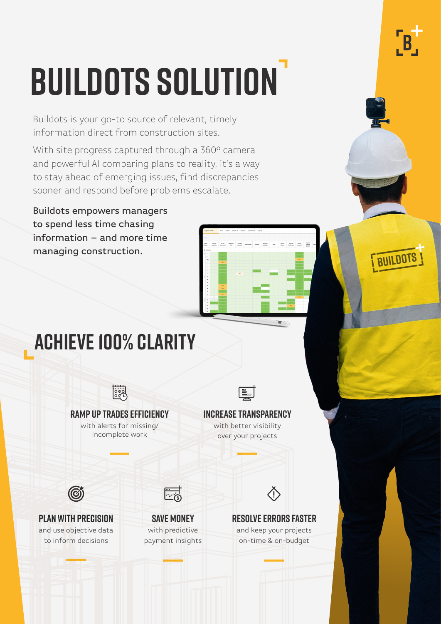# **Buildots Solution**

Buildots is your go-to source of relevant, timely information direct from construction sites.

With site progress captured through a 360° camera and powerful AI comparing plans to reality, it's a way to stay ahead of emerging issues, find discrepancies sooner and respond before problems escalate.

Buildots empowers managers to spend less time chasing information – and more time managing construction.

### **ACHIEVE 100% CLARITY**



**BUILDOTS**